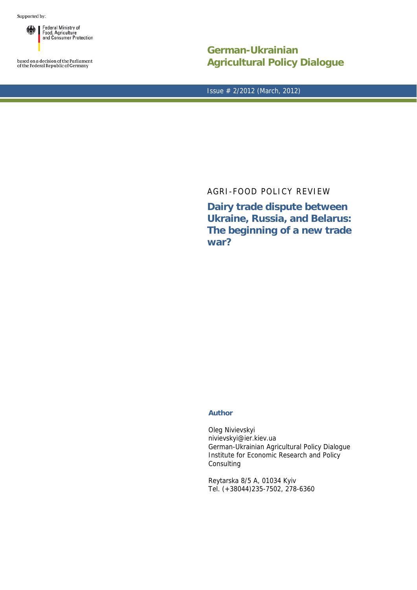Supported by:

Federal Ministry of 纝 I Food, Agriculture<br>and Consumer Protection

based on a decision of the Parliament<br>of the Federal Republic of Germany

**German-Ukrainian Agricultural Policy Dialogue**

Issue # 2/2012 (March, 2012)

## AGRI-FOOD POLICY REVIEW

**Dairy trade dispute between Ukraine, Russia, and Belarus: The beginning of a new trade war?** 

## **Author**

Oleg Nivievskyi nivievskyi@ier.kiev.ua German-Ukrainian Agricultural Policy Dialogue Institute for Economic Research and Policy Consulting

Reytarska 8/5 A, 01034 Kyiv Tel. (+38044)235-7502, 278-6360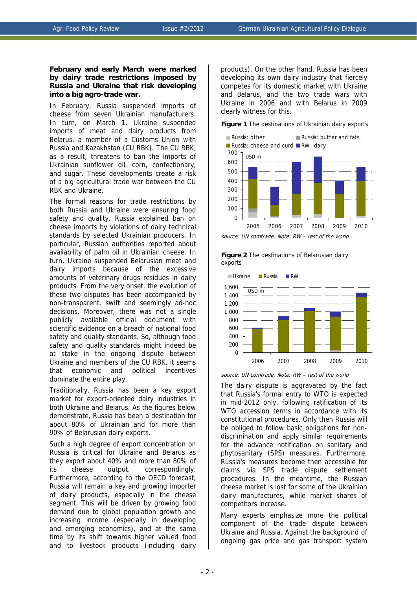## **February and early March were marked by dairy trade restrictions imposed by Russia and Ukraine that risk developing into a big agro-trade war.**

In February, Russia suspended imports of cheese from seven Ukrainian manufacturers. In turn, on March 1, Ukraine suspended imports of meat and dairy products from Belarus, a member of a Customs Union with Russia and Kazakhstan (CU RBK). The CU RBK, as a result, threatens to ban the imports of Ukrainian sunflower oil, corn, confectionary, and sugar. These developments create a risk of a big agricultural trade war between the CU RBK and Ukraine.

The formal reasons for trade restrictions by both Russia and Ukraine were ensuring food safety and quality. Russia explained ban on cheese imports by violations of dairy technical standards by selected Ukrainian producers. In particular, Russian authorities reported about availability of palm oil in Ukrainian cheese. In turn, Ukraine suspended Belarusian meat and dairy imports because of the excessive amounts of veterinary drugs residues in dairy products. From the very onset, the evolution of these two disputes has been accompanied by non-transparent, swift and seemingly ad-hoc decisions. Moreover, there was not a single publicly available official document with scientific evidence on a breach of national food safety and quality standards. So, although food safety and quality standards might indeed be at stake in the ongoing dispute between Ukraine and members of the CU RBK, it seems that economic and political incentives dominate the entire play.

Traditionally, Russia has been a key export market for export-oriented dairy industries in both Ukraine and Belarus. As the figures below demonstrate, Russia has been a destination for about 80% of Ukrainian and for more than 90% of Belarusian dairy exports.

Such a high degree of export concentration on Russia is critical for Ukraine and Belarus as they export about 40% and more than 80% of its cheese output, correspondingly. Furthermore, according to the OECD forecast, Russia will remain a key and growing importer of dairy products, especially in the cheese segment. This will be driven by growing food demand due to global population growth and increasing income (especially in developing and emerging economics), and at the same time by its shift towards higher valued food and to livestock products (including dairy

products). On the other hand, Russia has been developing its own dairy industry that fiercely competes for its domestic market with Ukraine and Belarus, and the two trade wars with Ukraine in 2006 and with Belarus in 2009 clearly witness for this.

**Figure 1** The destinations of Ukrainian dairy exports



source: UN comtrade; Note: RW – rest of the world





source: UN comtrade; Note: RW – rest of the world

The dairy dispute is aggravated by the fact that Russia's formal entry to WTO is expected in mid-2012 only, following ratification of its WTO accession terms in accordance with its constitutional procedures. Only then Russia will be obliged to follow basic obligations for nondiscrimination and apply similar requirements for the advance notification on sanitary and phytosanitary (SPS) measures. Furthermore, Russia's measures become then accessible for claims via SPS trade dispute settlement procedures. In the meantime, the Russian cheese market is lost for some of the Ukrainian dairy manufactures, while market shares of competitors increase.

Many experts emphasize more the political component of the trade dispute between Ukraine and Russia. Against the background of ongoing gas price and gas transport system